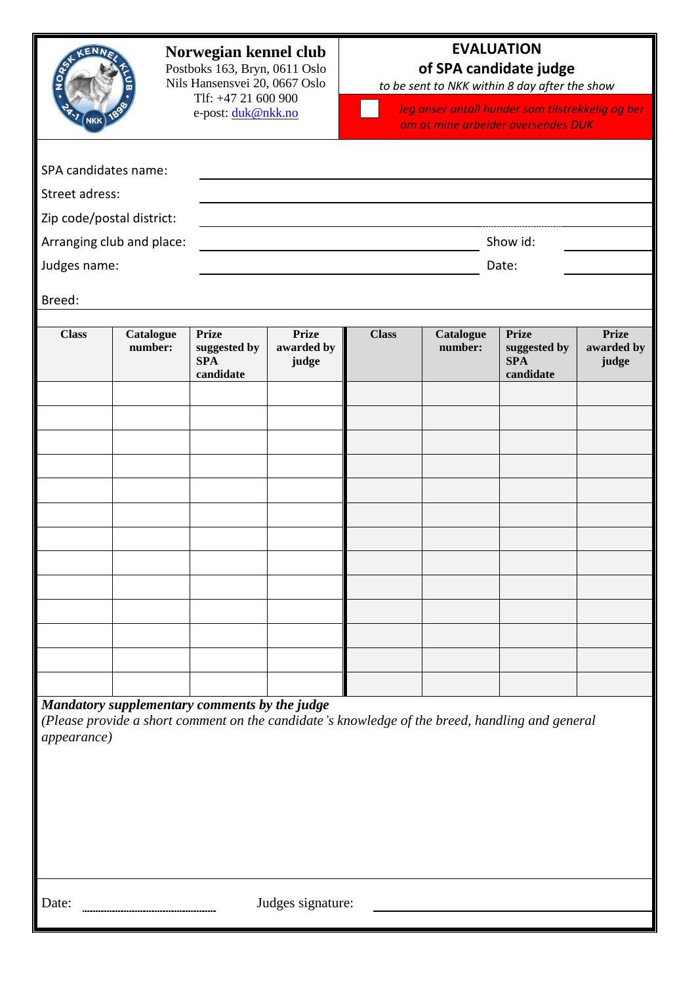| SPA candidates name:<br>Street adress:<br>Zip code/postal district: |                           |                                                         | Norwegian kennel club<br>Postboks 163, Bryn, 0611 Oslo<br>Nils Hansensvei 20, 0667 Oslo<br>Tlf: +47 21 600 900<br>e-post: duk@nkk.no |              | <b>EVALUATION</b><br>of SPA candidate judge<br>to be sent to NKK within 8 day after the show<br>Jeg anser antall hunder som tilstrekkelig og ber<br>om at mine arbeider oversendes DUK |                                                                                                 |                                     |  |
|---------------------------------------------------------------------|---------------------------|---------------------------------------------------------|--------------------------------------------------------------------------------------------------------------------------------------|--------------|----------------------------------------------------------------------------------------------------------------------------------------------------------------------------------------|-------------------------------------------------------------------------------------------------|-------------------------------------|--|
| Judges name:                                                        | Arranging club and place: | Show id:<br>Date:                                       |                                                                                                                                      |              |                                                                                                                                                                                        |                                                                                                 |                                     |  |
| Breed:                                                              |                           |                                                         |                                                                                                                                      |              |                                                                                                                                                                                        |                                                                                                 |                                     |  |
| <b>Class</b>                                                        | Catalogue<br>number:      | <b>Prize</b><br>suggested by<br><b>SPA</b><br>candidate | <b>Prize</b><br>awarded by<br>judge                                                                                                  | <b>Class</b> | Catalogue<br>number:                                                                                                                                                                   | <b>Prize</b><br>suggested by<br><b>SPA</b><br>candidate                                         | <b>Prize</b><br>awarded by<br>judge |  |
| <i>appearance</i> )                                                 |                           | Mandatory supplementary comments by the judge           |                                                                                                                                      |              |                                                                                                                                                                                        | (Please provide a short comment on the candidate's knowledge of the breed, handling and general |                                     |  |
| Judges signature:<br>Date:                                          |                           |                                                         |                                                                                                                                      |              |                                                                                                                                                                                        |                                                                                                 |                                     |  |